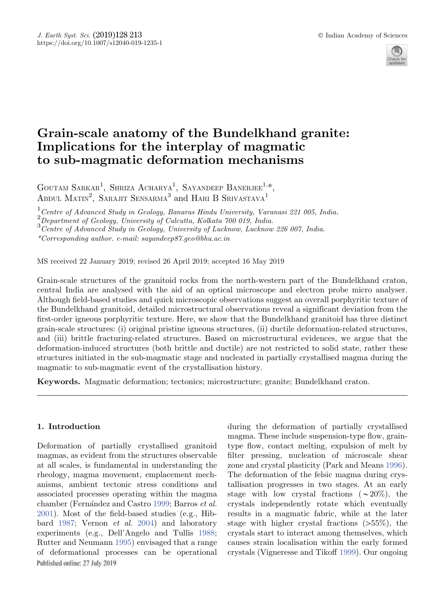

# Grain-scale anatomy of the Bundelkhand granite: Implications for the interplay of magmatic to sub-magmatic deformation mechanisms

GOUTAM SARKAR<sup>1</sup>, SHRIZA ACHARYA<sup>1</sup>, SAYANDEEP BANERJEE<sup>1,\*</sup>, ABDUL MATIN<sup>2</sup>, SARAJIT SENSARMA<sup>3</sup> and HARI B SRIVASTAVA<sup>1</sup>

 $\frac{1}{2}$ Centre of Advanced Study in Geology, Banaras Hindu University, Varanasi 221 005, India.<br> $\frac{2}{3}$ Department of Geology, University of Calcutta, Kolkata 700 019, India.<br> $\frac{3}{3}$ Centre of Advanced Study in Geology

\*Corresponding author. e-mail: sayandeep87.geo@bhu.ac.in

MS received 22 January 2019; revised 26 April 2019; accepted 16 May 2019

Grain-scale structures of the granitoid rocks from the north-western part of the Bundelkhand craton, central India are analysed with the aid of an optical microscope and electron probe micro analyser. Although field-based studies and quick microscopic observations suggest an overall porphyritic texture of the Bundelkhand granitoid, detailed microstructural observations reveal a significant deviation from the first-order igneous porphyritic texture. Here, we show that the Bundelkhand granitoid has three distinct grain-scale structures: (i) original pristine igneous structures, (ii) ductile deformation-related structures, and (iii) brittle fracturing-related structures. Based on microstructural evidences, we argue that the deformation-induced structures (both brittle and ductile) are not restricted to solid state, rather these structures initiated in the sub-magmatic stage and nucleated in partially crystallised magma during the magmatic to sub-magmatic event of the crystallisation history.

Keywords. Magmatic deformation; tectonics; microstructure; granite; Bundelkhand craton.

## 1. Introduction

Deformation of partially crystallised granitoid magmas, as evident from the structures observable at all scales, is fundamental in understanding the rheology, magma movement, emplacement mechanisms, ambient tectonic stress conditions and associated processes operating within the magma chamber (Fernández and Castro 1999; Barros et al. 2001). Most of the field-based studies (e.g., Hibbard 1987; Vernon et al. 2004) and laboratory experiments (e.g., Dell'Angelo and Tullis 1988; Rutter and Neumann 1995) envisaged that a range of deformational processes can be operational Published online: 27 July 2019

during the deformation of partially crystallised magma. These include suspension-type flow, graintype flow, contact melting, expulsion of melt by filter pressing, nucleation of microscale shear zone and crystal plasticity (Park and Means 1996). The deformation of the felsic magma during crystallisation progresses in two stages. At an early stage with low crystal fractions  $(\sim 20\%)$ , the crystals independently rotate which eventually results in a magmatic fabric, while at the later stage with higher crystal fractions  $(>55\%)$ , the crystals start to interact among themselves, which causes strain localisation within the early formed crystals (Vigneresse and Tikoff 1999). Our ongoing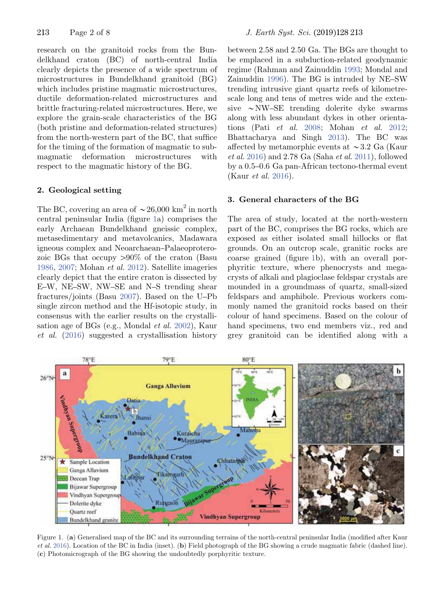research on the granitoid rocks from the Bundelkhand craton (BC) of north-central India clearly depicts the presence of a wide spectrum of microstructures in Bundelkhand granitoid (BG) which includes pristine magmatic microstructures, ductile deformation-related microstructures and brittle fracturing-related microstructures. Here, we explore the grain-scale characteristics of the BG (both pristine and deformation-related structures) from the north-western part of the BC, that suffice for the timing of the formation of magmatic to submagmatic deformation microstructures with respect to the magmatic history of the BG.

## 2. Geological setting

The BC, covering an area of  $\sim$  26,000 km<sup>2</sup> in north central peninsular India (figure 1a) comprises the early Archaean Bundelkhand gneissic complex, metasedimentary and metavolcanics, Madawara igneous complex and Neoarchaean–Palaeoproterozoic BGs that occupy  $>90\%$  of the craton (Basu 1986, 2007; Mohan et al. 2012). Satellite imageries clearly depict that the entire craton is dissected by E–W, NE–SW, NW–SE and N–S trending shear fractures/joints (Basu 2007). Based on the U–Pb single zircon method and the Hf-isotopic study, in consensus with the earlier results on the crystallisation age of BGs (e.g., Mondal et al. 2002), Kaur et al. (2016) suggested a crystallisation history between 2.58 and 2.50 Ga. The BGs are thought to be emplaced in a subduction-related geodynamic regime (Rahman and Zainuddin 1993; Mondal and Zainuddin 1996). The BG is intruded by NE–SW trending intrusive giant quartz reefs of kilometrescale long and tens of metres wide and the extensive  $\sim$ NW–SE trending dolerite dyke swarms along with less abundant dykes in other orientations (Pati et al. 2008; Mohan et al. 2012; Bhattacharya and Singh 2013). The BC was affected by metamorphic events at  $\sim$  3.2 Ga (Kaur  $et al. 2016)$  and  $2.78$  Ga (Saha  $et al. 2011$ ), followed by a 0.5–0.6 Ga pan-African tectono-thermal event (Kaur et al. 2016).

## 3. General characters of the BG

The area of study, located at the north-western part of the BC, comprises the BG rocks, which are exposed as either isolated small hillocks or flat grounds. On an outcrop scale, granitic rocks are coarse grained (figure 1b), with an overall porphyritic texture, where phenocrysts and megacrysts of alkali and plagioclase feldspar crystals are mounded in a groundmass of quartz, small-sized feldspars and amphibole. Previous workers commonly named the granitoid rocks based on their colour of hand specimens. Based on the colour of hand specimens, two end members viz., red and grey granitoid can be identified along with a



Figure 1. (a) Generalised map of the BC and its surrounding terrains of the north-central peninsular India (modified after Kaur et al. 2016). Location of the BC in India (inset). (b) Field photograph of the BG showing a crude magmatic fabric (dashed line). (c) Photomicrograph of the BG showing the undoubtedly porphyritic texture.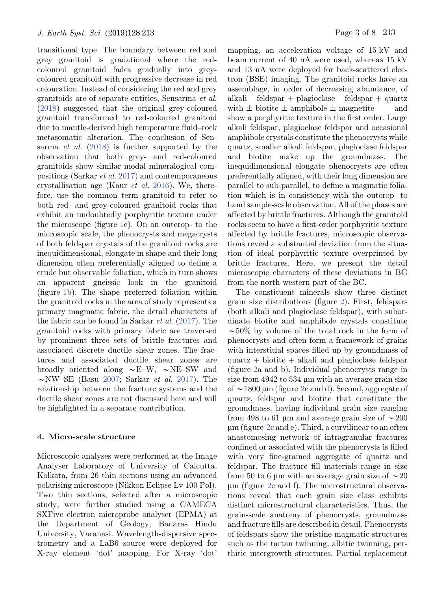transitional type. The boundary between red and grey granitoid is gradational where the redcoloured granitoid fades gradually into greycoloured granitoid with progressive decrease in red colouration. Instead of considering the red and grey granitoids are of separate entities, Sensarma et al. (2018) suggested that the original grey-coloured granitoid transformed to red-coloured granitoid due to mantle-derived high temperature fluid–rock metasomatic alteration. The conclusion of Sensarma et al. (2018) is further supported by the observation that both grey- and red-coloured granitoids show similar modal mineralogical compositions (Sarkar et al. 2017) and contemporaneous crystallisation age (Kaur et al. 2016). We, therefore, use the common term granitoid to refer to both red- and grey-coloured granitoid rocks that exhibit an undoubtedly porphyritic texture under the microscope (figure 1c). On an outcrop- to the microscopic scale, the phenocrysts and megacrysts of both feldspar crystals of the granitoid rocks are inequidimensional, elongate in shape and their long dimension often preferentially aligned to define a crude but observable foliation, which in turn shows an apparent gneissic look in the granitoid (figure 1b). The shape preferred foliation within the granitoid rocks in the area of study represents a primary magmatic fabric, the detail characters of the fabric can be found in Sarkar et al. (2017). The granitoid rocks with primary fabric are traversed by prominent three sets of brittle fractures and associated discrete ductile shear zones. The fractures and associated ductile shear zones are broadly oriented along  $\sim$  E–W,  $\sim$  NE–SW and  $\sim$ NW–SE (Basu 2007; Sarkar *et al.* 2017). The relationship between the fracture systems and the ductile shear zones are not discussed here and will be highlighted in a separate contribution.

#### 4. Micro-scale structure

Microscopic analyses were performed at the Image Analyser Laboratory of University of Calcutta, Kolkata, from 26 thin sections using an advanced polarising microscope (Nikkon Eclipse Lv 100 Pol). Two thin sections, selected after a microscopic study, were further studied using a CAMECA SXFive electron microprobe analyser (EPMA) at the Department of Geology, Banaras Hindu University, Varanasi. Wavelength-dispersive spectrometry and a LaB6 source were deployed for X-ray element 'dot' mapping. For X-ray 'dot'

mapping, an acceleration voltage of 15 kV and beam current of 40 nA were used, whereas 15 kV and 13 nA were deployed for back-scattered electron (BSE) imaging. The granitoid rocks have an assemblage, in order of decreasing abundance, of alkali feldspar + plagioclase feldspar + quartz with  $\pm$  biotite  $\pm$  amphibole  $\pm$  magnetite and show a porphyritic texture in the first order. Large alkali feldspar, plagioclase feldspar and occasional amphibole crystals constitute the phenocrysts while quartz, smaller alkali feldspar, plagioclase feldspar and biotite make up the groundmass. The inequidimensional elongate phenocrysts are often preferentially aligned, with their long dimension are parallel to sub-parallel, to define a magmatic foliation which is in consistency with the outcrop- to hand sample-scale observation. All of the phases are affected by brittle fractures. Although the granitoid rocks seem to have a first-order porphyritic texture affected by brittle fractures, microscopic observations reveal a substantial deviation from the situation of ideal porphyritic texture overprinted by brittle fractures. Here, we present the detail microscopic characters of these deviations in BG from the north-western part of the BC.

The constituent minerals show three distinct grain size distributions (figure 2). First, feldspars (both alkali and plagioclase feldspar), with subordinate biotite and amphibole crystals constitute  $\sim$  50% by volume of the total rock in the form of phenocrysts and often form a framework of grains with interstitial spaces filled up by groundmass of quartz + biotite + alkali and plagioclase feldspar (figure 2a and b). Individual phenocrysts range in size from  $4942$  to  $534 \mu m$  with an average grain size of  $\sim$  1800 µm (figure 2c and d). Second, aggregate of quartz, feldspar and biotite that constitute the groundmass, having individual grain size ranging from 498 to 61 µm and average grain size of  $\sim$  200  $\mu$ m (figure 2c and e). Third, a curvilinear to an often anastomosing network of intragranular fractures confined or associated with the phenocrysts is filled with very fine-grained aggregate of quartz and feldspar. The fracture fill materials range in size from 50 to 6  $\mu$ m with an average grain size of  $\sim$  20  $\mu$ m (figure 2c and f). The microstructural observations reveal that each grain size class exhibits distinct microstructural characteristics. Thus, the grain-scale anatomy of phenocrysts, groundmass and fracture fills are described in detail. Phenocrysts of feldspars show the pristine magmatic structures such as the tartan twinning, albitic twinning, perthitic intergrowth structures. Partial replacement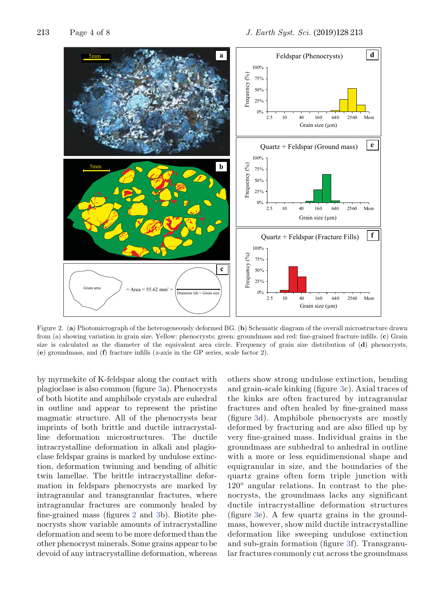

Figure 2. (a) Photomicrograph of the heterogeneously deformed BG. (b) Schematic diagram of the overall microstructure drawn from (a) showing variation in grain size. Yellow: phenocrysts; green: groundmass and red: fine-grained fracture infills. (c) Grain size is calculated as the diameter of the equivalent area circle. Frequency of grain size distribution of (d) phenocrysts, (e) groundmass, and (f) fracture infills (x-axis in the GP series, scale factor 2).

by myrmekite of K-feldspar along the contact with plagioclase is also common (figure 3a). Phenocrysts of both biotite and amphibole crystals are euhedral in outline and appear to represent the pristine magmatic structure. All of the phenocrysts bear imprints of both brittle and ductile intracrystalline deformation microstructures. The ductile intracrystalline deformation in alkali and plagioclase feldspar grains is marked by undulose extinction, deformation twinning and bending of albitic twin lamellae. The brittle intracrystalline deformation in feldspars phenocrysts are marked by intragranular and transgranular fractures, where intragranular fractures are commonly healed by fine-grained mass (figures 2 and 3b). Biotite phenocrysts show variable amounts of intracrystalline deformation and seem to be more deformed than the other phenocryst minerals. Some grains appear to be devoid of any intracrystalline deformation, whereas others show strong undulose extinction, bending and grain-scale kinking (figure 3c). Axial traces of the kinks are often fractured by intragranular fractures and often healed by fine-grained mass (figure 3d). Amphibole phenocrysts are mostly deformed by fracturing and are also filled up by very fine-grained mass. Individual grains in the groundmass are subhedral to anhedral in outline with a more or less equidimensional shape and equigranular in size, and the boundaries of the quartz grains often form triple junction with  $120^{\circ}$  angular relations. In contrast to the phenocrysts, the groundmass lacks any significant ductile intracrystalline deformation structures (figure 3e). A few quartz grains in the groundmass, however, show mild ductile intracrystalline deformation like sweeping undulose extinction and sub-grain formation (figure 3f). Transgranular fractures commonly cut across the groundmass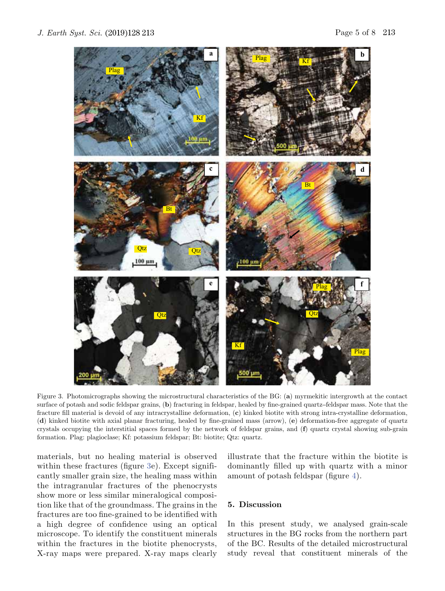

Figure 3. Photomicrographs showing the microstructural characteristics of the BG: (a) myrmekitic intergrowth at the contact surface of potash and sodic feldspar grains, (b) fracturing in feldspar, healed by fine-grained quartz–feldspar mass. Note that the fracture fill material is devoid of any intracrystalline deformation, (c) kinked biotite with strong intra-crystalline deformation, (d) kinked biotite with axial planar fracturing, healed by fine-grained mass (arrow), (e) deformation-free aggregate of quartz crystals occupying the interstitial spaces formed by the network of feldspar grains, and (f) quartz crystal showing sub-grain formation. Plag: plagioclase; Kf: potassium feldspar; Bt: biotite; Qtz: quartz.

materials, but no healing material is observed within these fractures (figure 3e). Except significantly smaller grain size, the healing mass within the intragranular fractures of the phenocrysts show more or less similar mineralogical composition like that of the groundmass. The grains in the fractures are too fine-grained to be identified with a high degree of confidence using an optical microscope. To identify the constituent minerals within the fractures in the biotite phenocrysts, X-ray maps were prepared. X-ray maps clearly illustrate that the fracture within the biotite is dominantly filled up with quartz with a minor amount of potash feldspar (figure 4).

## 5. Discussion

In this present study, we analysed grain-scale structures in the BG rocks from the northern part of the BC. Results of the detailed microstructural study reveal that constituent minerals of the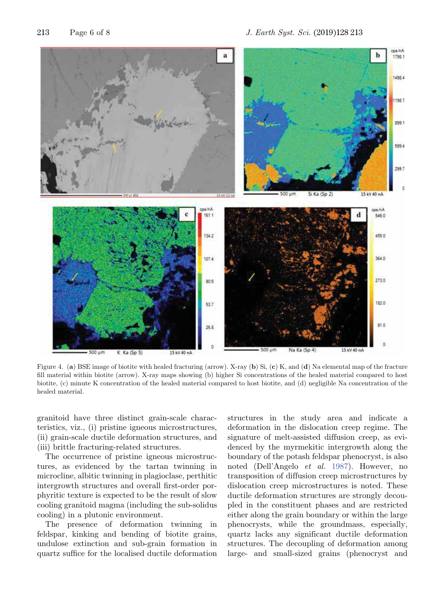

Figure 4. (a) BSE image of biotite with healed fracturing (arrow). X-ray (b) Si, (c) K, and (d) Na elemental map of the fracture fill material within biotite (arrow). X-ray maps showing (b) higher Si concentrations of the healed material compared to host biotite, (c) minute K concentration of the healed material compared to host biotite, and (d) negligible Na concentration of the healed material.

granitoid have three distinct grain-scale characteristics, viz., (i) pristine igneous microstructures, (ii) grain-scale ductile deformation structures, and (iii) brittle fracturing-related structures.

The occurrence of pristine igneous microstructures, as evidenced by the tartan twinning in microcline, albitic twinning in plagioclase, perthitic intergrowth structures and overall first-order porphyritic texture is expected to be the result of slow cooling granitoid magma (including the sub-solidus cooling) in a plutonic environment.

The presence of deformation twinning in feldspar, kinking and bending of biotite grains, undulose extinction and sub-grain formation in quartz suffice for the localised ductile deformation structures in the study area and indicate a deformation in the dislocation creep regime. The signature of melt-assisted diffusion creep, as evidenced by the myrmekitic intergrowth along the boundary of the potash feldspar phenocryst, is also noted (Dell'Angelo et al. 1987). However, no transposition of diffusion creep microstructures by dislocation creep microstructures is noted. These ductile deformation structures are strongly decoupled in the constituent phases and are restricted either along the grain boundary or within the large phenocrysts, while the groundmass, especially, quartz lacks any significant ductile deformation structures. The decoupling of deformation among large- and small-sized grains (phenocryst and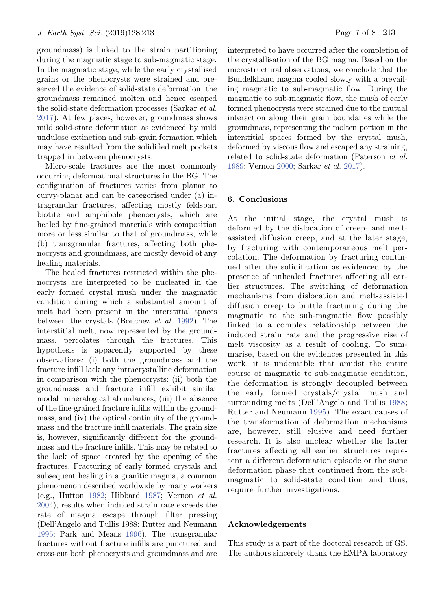groundmass) is linked to the strain partitioning during the magmatic stage to sub-magmatic stage. In the magmatic stage, while the early crystallised grains or the phenocrysts were strained and preserved the evidence of solid-state deformation, the groundmass remained molten and hence escaped the solid-state deformation processes (Sarkar et al. 2017). At few places, however, groundmass shows mild solid-state deformation as evidenced by mild undulose extinction and sub-grain formation which may have resulted from the solidified melt pockets trapped in between phenocrysts.

Micro-scale fractures are the most commonly occurring deformational structures in the BG. The configuration of fractures varies from planar to curvy-planar and can be categorised under (a) intragranular fractures, affecting mostly feldspar, biotite and amphibole phenocrysts, which are healed by fine-grained materials with composition more or less similar to that of groundmass, while (b) transgranular fractures, affecting both phenocrysts and groundmass, are mostly devoid of any healing materials.

The healed fractures restricted within the phenocrysts are interpreted to be nucleated in the early formed crystal mush under the magmatic condition during which a substantial amount of melt had been present in the interstitial spaces between the crystals (Bouchez et al. 1992). The interstitial melt, now represented by the groundmass, percolates through the fractures. This hypothesis is apparently supported by these observations: (i) both the groundmass and the fracture infill lack any intracrystalline deformation in comparison with the phenocrysts; (ii) both the groundmass and fracture infill exhibit similar modal mineralogical abundances, (iii) the absence of the fine-grained fracture infills within the groundmass, and (iv) the optical continuity of the groundmass and the fracture infill materials. The grain size is, however, significantly different for the groundmass and the fracture infills. This may be related to the lack of space created by the opening of the fractures. Fracturing of early formed crystals and subsequent healing in a granitic magma, a common phenomenon described worldwide by many workers (e.g., Hutton 1982; Hibbard 1987; Vernon et al. 2004), results when induced strain rate exceeds the rate of magma escape through filter pressing (Dell'Angelo and Tullis 1988; Rutter and Neumann 1995; Park and Means 1996). The transgranular fractures without fracture infills are punctured and cross-cut both phenocrysts and groundmass and are interpreted to have occurred after the completion of the crystallisation of the BG magma. Based on the microstructural observations, we conclude that the Bundelkhand magma cooled slowly with a prevailing magmatic to sub-magmatic flow. During the magmatic to sub-magmatic flow, the mush of early formed phenocrysts were strained due to the mutual interaction along their grain boundaries while the groundmass, representing the molten portion in the interstitial spaces formed by the crystal mush, deformed by viscous flow and escaped any straining, related to solid-state deformation (Paterson et al. 1989; Vernon 2000; Sarkar et al. 2017).

### 6. Conclusions

At the initial stage, the crystal mush is deformed by the dislocation of creep- and meltassisted diffusion creep, and at the later stage, by fracturing with contemporaneous melt percolation. The deformation by fracturing continued after the solidification as evidenced by the presence of unhealed fractures affecting all earlier structures. The switching of deformation mechanisms from dislocation and melt-assisted diffusion creep to brittle fracturing during the magmatic to the sub-magmatic flow possibly linked to a complex relationship between the induced strain rate and the progressive rise of melt viscosity as a result of cooling. To summarise, based on the evidences presented in this work, it is undeniable that amidst the entire course of magmatic to sub-magmatic condition, the deformation is strongly decoupled between the early formed crystals/crystal mush and surrounding melts (Dell'Angelo and Tullis 1988; Rutter and Neumann 1995). The exact causes of the transformation of deformation mechanisms are, however, still elusive and need further research. It is also unclear whether the latter fractures affecting all earlier structures represent a different deformation episode or the same deformation phase that continued from the submagmatic to solid-state condition and thus, require further investigations.

#### Acknowledgements

This study is a part of the doctoral research of GS. The authors sincerely thank the EMPA laboratory